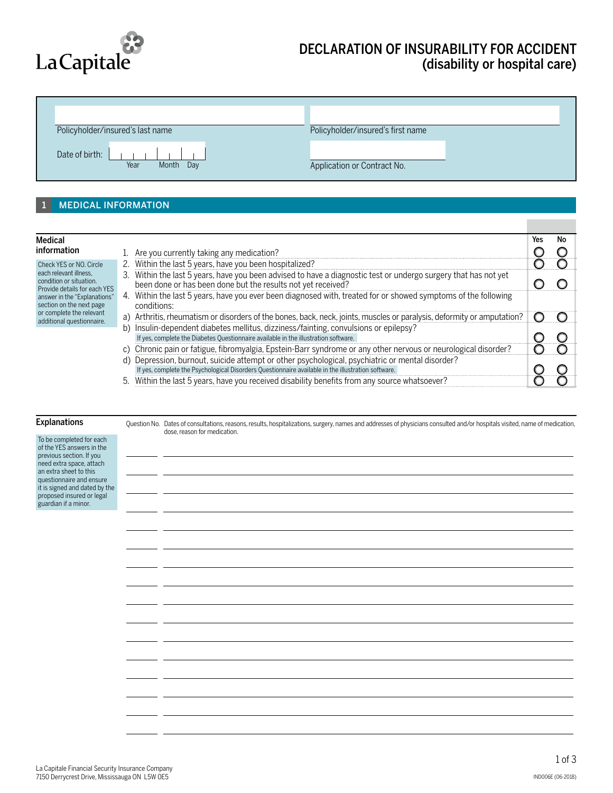

# DECLARATION OF INSURABILITY FOR ACCIDENT (disability or hospital care)

n.

| Policyholder/insured's last name    | Policyholder/insured's first name |
|-------------------------------------|-----------------------------------|
| Date of birth:<br>Year<br>Month Day | Application or Contract No.       |

### 1 MEDICAL INFORMATION

| Medical                                                                           |    |                                                                                                                                                                                                    | Yes | No |  |
|-----------------------------------------------------------------------------------|----|----------------------------------------------------------------------------------------------------------------------------------------------------------------------------------------------------|-----|----|--|
| information                                                                       |    | Are you currently taking any medication?                                                                                                                                                           |     |    |  |
| Check YES or NO. Circle                                                           |    | 2. Within the last 5 years, have you been hospitalized?                                                                                                                                            |     |    |  |
| each relevant illness.<br>condition or situation.<br>Provide details for each YES |    | 3. Within the last 5 years, have you been advised to have a diagnostic test or undergo surgery that has not yet<br>been done or has been done but the results not yet received?                    |     |    |  |
| answer in the "Explanations"<br>section on the next page                          |    | 4. Within the last 5 years, have you ever been diagnosed with, treated for or showed symptoms of the following<br>conditions:                                                                      |     |    |  |
| or complete the relevant<br>additional questionnaire.                             |    | a) Arthritis, rheumatism or disorders of the bones, back, neck, joints, muscles or paralysis, deformity or amputation?                                                                             |     |    |  |
|                                                                                   | b) | Insulin-dependent diabetes mellitus, dizziness/fainting, convulsions or epilepsy?<br>If yes, complete the Diabetes Questionnaire available in the illustration software.                           |     |    |  |
|                                                                                   | C) | Chronic pain or fatigue, fibromyalgia, Epstein-Barr syndrome or any other nervous or neurological disorder?                                                                                        |     |    |  |
|                                                                                   | d) | Depression, burnout, suicide attempt or other psychological, psychiatric or mental disorder?<br>If yes, complete the Psychological Disorders Questionnaire available in the illustration software. |     |    |  |
|                                                                                   | 5. | Within the last 5 years, have you received disability benefits from any source whatsoever?                                                                                                         |     |    |  |

## **Explanations**

| explanations                                                                      | Question No. Dates of consultations, reasons, results, hospitalizations, surgery, names and addresses of physicians consulted and/or hospitals visited, name of medication,<br>dose, reason for medication. |
|-----------------------------------------------------------------------------------|-------------------------------------------------------------------------------------------------------------------------------------------------------------------------------------------------------------|
| To be completed for each<br>of the YES answers in the<br>previous section. If you |                                                                                                                                                                                                             |
| need extra space, attach<br>an extra sheet to this                                |                                                                                                                                                                                                             |
| questionnaire and ensure<br>it is signed and dated by the                         |                                                                                                                                                                                                             |
| proposed insured or legal<br>guardian if a minor.                                 |                                                                                                                                                                                                             |
|                                                                                   |                                                                                                                                                                                                             |
|                                                                                   |                                                                                                                                                                                                             |
|                                                                                   |                                                                                                                                                                                                             |
|                                                                                   |                                                                                                                                                                                                             |
|                                                                                   |                                                                                                                                                                                                             |
|                                                                                   |                                                                                                                                                                                                             |
|                                                                                   |                                                                                                                                                                                                             |
|                                                                                   |                                                                                                                                                                                                             |
|                                                                                   |                                                                                                                                                                                                             |
|                                                                                   |                                                                                                                                                                                                             |
|                                                                                   |                                                                                                                                                                                                             |
|                                                                                   |                                                                                                                                                                                                             |
|                                                                                   |                                                                                                                                                                                                             |
|                                                                                   |                                                                                                                                                                                                             |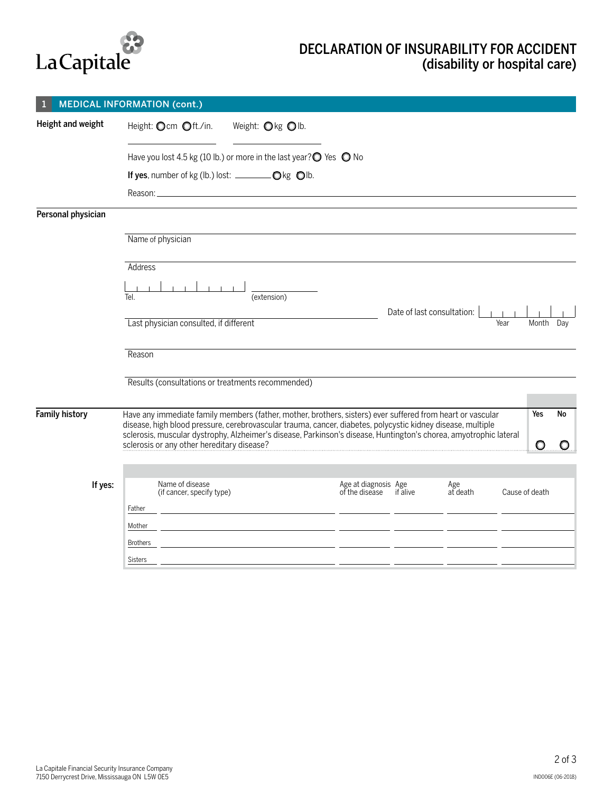

# DECLARATION OF INSURABILITY FOR ACCIDENT (disability or hospital care)

|                       | <b>MEDICAL INFORMATION (cont.)</b>                                                                                                                                                                                             |                                                                                                                      |                                                 |                            |      |                |    |
|-----------------------|--------------------------------------------------------------------------------------------------------------------------------------------------------------------------------------------------------------------------------|----------------------------------------------------------------------------------------------------------------------|-------------------------------------------------|----------------------------|------|----------------|----|
| Height and weight     | Height: Ocm Oft./in.                                                                                                                                                                                                           | Weight: $\bigcirc$ kg $\bigcirc$ lb.                                                                                 |                                                 |                            |      |                |    |
|                       | Have you lost 4.5 kg (10 lb.) or more in the last year? $\bigcirc$ Yes $\bigcirc$ No                                                                                                                                           |                                                                                                                      |                                                 |                            |      |                |    |
|                       |                                                                                                                                                                                                                                |                                                                                                                      |                                                 |                            |      |                |    |
|                       | Reason: New York State State State State State State State State State State State State State State State State State State State State State State State State State State State State State State State State State State S |                                                                                                                      |                                                 |                            |      |                |    |
| Personal physician    |                                                                                                                                                                                                                                |                                                                                                                      |                                                 |                            |      |                |    |
|                       | Name of physician                                                                                                                                                                                                              |                                                                                                                      |                                                 |                            |      |                |    |
|                       | <b>Address</b>                                                                                                                                                                                                                 |                                                                                                                      |                                                 |                            |      |                |    |
|                       |                                                                                                                                                                                                                                |                                                                                                                      |                                                 |                            |      |                |    |
|                       | Tel.                                                                                                                                                                                                                           | (extension)                                                                                                          |                                                 | Date of last consultation: |      |                |    |
|                       | Last physician consulted, if different                                                                                                                                                                                         |                                                                                                                      |                                                 |                            | Year | Month Day      |    |
|                       |                                                                                                                                                                                                                                |                                                                                                                      |                                                 |                            |      |                |    |
|                       | Reason                                                                                                                                                                                                                         |                                                                                                                      |                                                 |                            |      |                |    |
|                       | Results (consultations or treatments recommended)                                                                                                                                                                              |                                                                                                                      |                                                 |                            |      |                |    |
|                       |                                                                                                                                                                                                                                |                                                                                                                      |                                                 |                            |      |                |    |
| <b>Family history</b> | Have any immediate family members (father, mother, brothers, sisters) ever suffered from heart or vascular<br>disease, high blood pressure, cerebrovascular trauma, cancer, diabetes, polycystic kidney disease, multiple      |                                                                                                                      |                                                 |                            |      | Yes            | No |
|                       | sclerosis, muscular dystrophy, Alzheimer's disease, Parkinson's disease, Huntington's chorea, amyotrophic lateral<br>sclerosis or any other hereditary disease?                                                                |                                                                                                                      |                                                 |                            |      | O              |    |
|                       |                                                                                                                                                                                                                                |                                                                                                                      |                                                 |                            |      |                |    |
|                       |                                                                                                                                                                                                                                |                                                                                                                      |                                                 |                            |      |                |    |
| If yes:               | Name of disease<br>(if cancer, specify type)                                                                                                                                                                                   |                                                                                                                      | Age at diagnosis Age<br>of the disease if alive | Age<br>at death            |      | Cause of death |    |
|                       | Father                                                                                                                                                                                                                         | <u> 1989 - Jan Samuel Barbara, poeta establecidad en la contrada de la contrada de la contrada de la contrada de</u> |                                                 |                            |      |                |    |
|                       | Mother                                                                                                                                                                                                                         | <u> 1989 - Johann Marie Barn, mars eta inperiodo</u>                                                                 |                                                 |                            |      |                |    |
|                       | <b>Brothers</b>                                                                                                                                                                                                                | <u> 1980 - Jan Stein Berlin, amerikan personal personal personal personal personal personal personal personal pe</u> |                                                 |                            |      |                |    |
|                       | <b>Sisters</b>                                                                                                                                                                                                                 |                                                                                                                      |                                                 |                            |      |                |    |